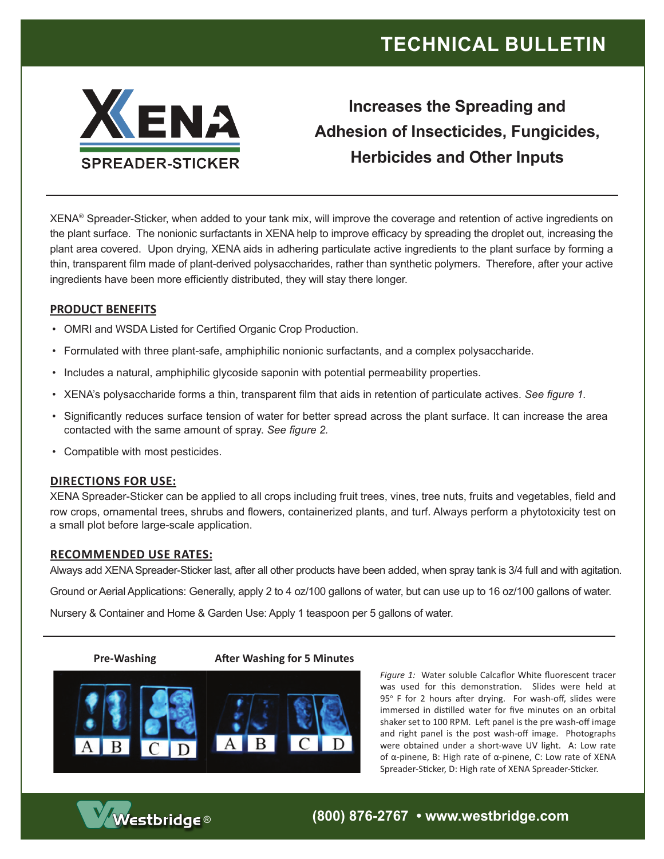# **TECHNICAL BULLETIN**



# **Increases the Spreading and Adhesion of Insecticides, Fungicides, Herbicides and Other Inputs**

XENA® Spreader-Sticker, when added to your tank mix, will improve the coverage and retention of active ingredients on the plant surface. The nonionic surfactants in XENA help to improve efficacy by spreading the droplet out, increasing the plant area covered. Upon drying, XENA aids in adhering particulate active ingredients to the plant surface by forming a thin, transparent film made of plant-derived polysaccharides, rather than synthetic polymers. Therefore, after your active ingredients have been more efficiently distributed, they will stay there longer.

# **PRODUCT BENEFITS**

- OMRI and WSDA Listed for Certified Organic Crop Production.
- Formulated with three plant-safe, amphiphilic nonionic surfactants, and a complex polysaccharide.
- Includes a natural, amphiphilic glycoside saponin with potential permeability properties.
- XENA's polysaccharide forms a thin, transparent film that aids in retention of particulate actives. *See figure 1.*
- Significantly reduces surface tension of water for better spread across the plant surface. It can increase the area contacted with the same amount of spray. *See figure 2.*
- Compatible with most pesticides.

## **DIRECTIONS FOR USE:**

XENA Spreader-Sticker can be applied to all crops including fruit trees, vines, tree nuts, fruits and vegetables, field and row crops, ornamental trees, shrubs and flowers, containerized plants, and turf. Always perform a phytotoxicity test on a small plot before large-scale application.

## **RECOMMENDED USE RATES:**

Always add XENA Spreader-Sticker last, after all other products have been added, when spray tank is 3/4 full and with agitation.

Ground or Aerial Applications: Generally, apply 2 to 4 oz/100 gallons of water, but can use up to 16 oz/100 gallons of water.

Nursery & Container and Home & Garden Use: Apply 1 teaspoon per 5 gallons of water.

### **Pre-Washing After Washing for 5 Minutes**



*Figure 1:* Water soluble Calcaflor White fluorescent tracer was used for this demonstration. Slides were held at 95° F for 2 hours after drying. For wash-off, slides were immersed in distilled water for five minutes on an orbital shaker set to 100 RPM. Left panel is the pre wash-off image and right panel is the post wash-off image. Photographs were obtained under a short-wave UV light. A: Low rate of α-pinene, B: High rate of α-pinene, C: Low rate of XENA Spreader-Sticker, D: High rate of XENA Spreader-Sticker.



# ® **(800) 876-2767 • www.westbridge.com**